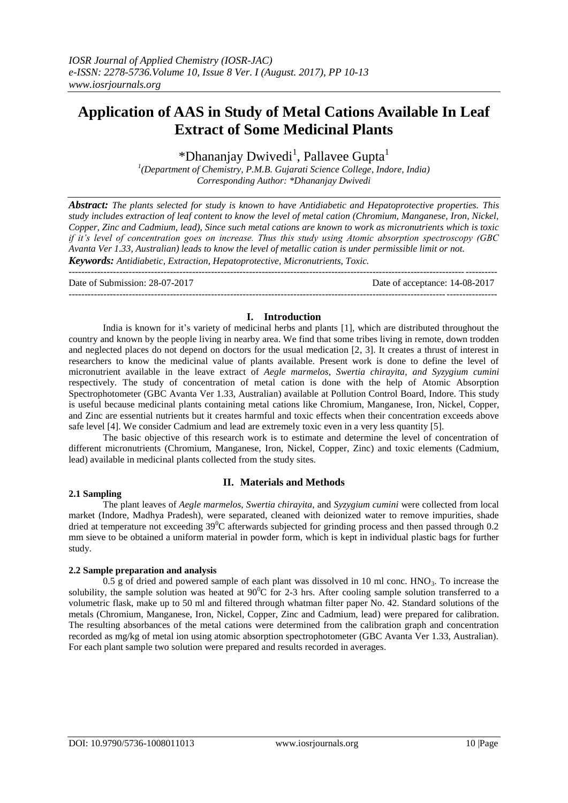# **Application of AAS in Study of Metal Cations Available In Leaf Extract of Some Medicinal Plants**

\*Dhananjay Dwivedi<sup>1</sup>, Pallavee Gupta<sup>1</sup>

*1 (Department of Chemistry, P.M.B. Gujarati Science College, Indore, India) Corresponding Author: \*Dhananjay Dwivedi*

*Abstract: The plants selected for study is known to have Antidiabetic and Hepatoprotective properties. This study includes extraction of leaf content to know the level of metal cation (Chromium, Manganese, Iron, Nickel, Copper, Zinc and Cadmium, lead), Since such metal cations are known to work as micronutrients which is toxic if it's level of concentration goes on increase. Thus this study using Atomic absorption spectroscopy (GBC Avanta Ver 1.33, Australian) leads to know the level of metallic cation is under permissible limit or not. Keywords: Antidiabetic, Extraction, Hepatoprotective, Micronutrients, Toxic.*

--------------------------------------------------------------------------------------------------------------------------------------- Date of Submission: 28-07-2017 Date of acceptance: 14-08-2017 ---------------------------------------------------------------------------------------------------------------------------------------

## **I. Introduction**

India is known for it's variety of medicinal herbs and plants [1], which are distributed throughout the country and known by the people living in nearby area. We find that some tribes living in remote, down trodden and neglected places do not depend on doctors for the usual medication [2, 3]. It creates a thrust of interest in researchers to know the medicinal value of plants available. Present work is done to define the level of micronutrient available in the leave extract of *Aegle marmelos*, *Swertia chirayita*, *and Syzygium cumini*  respectively. The study of concentration of metal cation is done with the help of Atomic Absorption Spectrophotometer (GBC Avanta Ver 1.33, Australian) available at Pollution Control Board, Indore. This study is useful because medicinal plants containing metal cations like Chromium, Manganese, Iron, Nickel, Copper, and Zinc are essential nutrients but it creates harmful and toxic effects when their concentration exceeds above safe level [4]. We consider Cadmium and lead are extremely toxic even in a very less quantity [5].

The basic objective of this research work is to estimate and determine the level of concentration of different micronutrients (Chromium, Manganese, Iron, Nickel, Copper, Zinc) and toxic elements (Cadmium, lead) available in medicinal plants collected from the study sites.

### **2.1 Sampling**

### **II. Materials and Methods**

The plant leaves of *Aegle marmelos*, *Swertia chirayita*, and *Syzygium cumini* were collected from local market (Indore, Madhya Pradesh), were separated, cleaned with deionized water to remove impurities, shade dried at temperature not exceeding  $39^{\circ}$ C afterwards subjected for grinding process and then passed through 0.2 mm sieve to be obtained a uniform material in powder form, which is kept in individual plastic bags for further study.

### **2.2 Sample preparation and analysis**

 $0.5$  g of dried and powered sample of each plant was dissolved in 10 ml conc. HNO<sub>3</sub>. To increase the solubility, the sample solution was heated at  $90^{\circ}$ C for 2-3 hrs. After cooling sample solution transferred to a volumetric flask, make up to 50 ml and filtered through whatman filter paper No. 42. Standard solutions of the metals (Chromium, Manganese, Iron, Nickel, Copper, Zinc and Cadmium, lead) were prepared for calibration. The resulting absorbances of the metal cations were determined from the calibration graph and concentration recorded as mg/kg of metal ion using atomic absorption spectrophotometer (GBC Avanta Ver 1.33, Australian). For each plant sample two solution were prepared and results recorded in averages.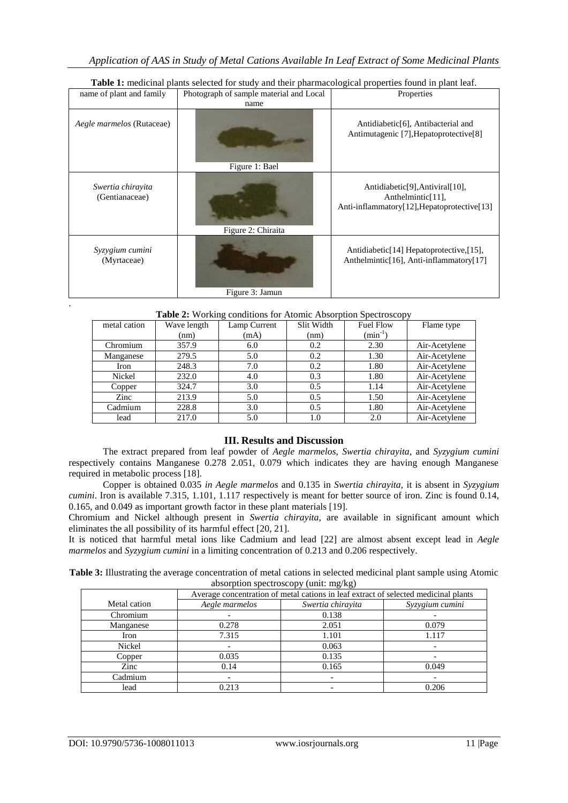| name of plant and family            | Photograph of sample material and Local | Properties                                                                                                                                 |  |
|-------------------------------------|-----------------------------------------|--------------------------------------------------------------------------------------------------------------------------------------------|--|
|                                     | name                                    |                                                                                                                                            |  |
| <i>Aegle marmelos</i> (Rutaceae)    | Figure 1: Bael                          | Antidiabetic <sup>[6]</sup> , Antibacterial and<br>Antimutagenic [7], Hepatoprotective [8]                                                 |  |
| Swertia chirayita<br>(Gentianaceae) | Figure 2: Chiraita                      | Antidiabetic <sup>[9]</sup> , Antiviral <sup>[10]</sup> ,<br>Anthelmintic <sup>[11]</sup> ,<br>Anti-inflammatory[12], Hepatoprotective[13] |  |
| Syzygium cumini<br>(Myrtaceae)      | Figure 3: Jamun                         | Antidiabetic <sup>[14]</sup> Hepatoprotective, [15],<br>Anthelmintic <sup>[16]</sup> , Anti-inflammatory <sup>[17]</sup>                   |  |

# **Table 1:** medicinal plants selected for study and their pharmacological properties found in plant leaf.

|  |  |  | Table 2: Working conditions for Atomic Absorption Spectroscopy |
|--|--|--|----------------------------------------------------------------|
|  |  |  |                                                                |

| metal cation | Wave length | Lamp Current | Slit Width | <b>Fuel Flow</b> | Flame type    |
|--------------|-------------|--------------|------------|------------------|---------------|
|              | (nm)        | (mA)         | (nm)       | $(min^{-1})$     |               |
| Chromium     | 357.9       | 6.0          | 0.2        | 2.30             | Air-Acetylene |
| Manganese    | 279.5       | 5.0          | 0.2        | 1.30             | Air-Acetylene |
| Iron         | 248.3       | 7.0          | 0.2        | 1.80             | Air-Acetylene |
| Nickel       | 232.0       | 4.0          | 0.3        | 1.80             | Air-Acetylene |
| Copper       | 324.7       | 3.0          | 0.5        | 1.14             | Air-Acetylene |
| Zinc         | 213.9       | 5.0          | 0.5        | 1.50             | Air-Acetylene |
| Cadmium      | 228.8       | 3.0          | 0.5        | 1.80             | Air-Acetylene |
| lead         | 217.0       | 5.0          | 1.0        | 2.0              | Air-Acetylene |

# **III. Results and Discussion**

The extract prepared from leaf powder of *Aegle marmelos*, *Swertia chirayita*, and *Syzygium cumini* respectively contains Manganese 0.278 2.051, 0.079 which indicates they are having enough Manganese required in metabolic process [18].

Copper is obtained 0.035 *in Aegle marmelos* and 0.135 in *Swertia chirayita,* it is absent in *Syzygium cumini*. Iron is available 7.315, 1.101, 1.117 respectively is meant for better source of iron. Zinc is found 0.14, 0.165, and 0.049 as important growth factor in these plant materials [19].

Chromium and Nickel although present in *Swertia chirayita*, are available in significant amount which eliminates the all possibility of its harmful effect [20, 21].

It is noticed that harmful metal ions like Cadmium and lead [22] are almost absent except lead in *Aegle marmelos* and *Syzygium cumini* in a limiting concentration of 0.213 and 0.206 respectively.

**Table 3:** Illustrating the average concentration of metal cations in selected medicinal plant sample using Atomic absorption spectroscopy (unit: mg/kg)

|              | Average concentration of metal cations in leaf extract of selected medicinal plants |                   |                 |  |
|--------------|-------------------------------------------------------------------------------------|-------------------|-----------------|--|
| Metal cation | Aegle marmelos                                                                      | Swertia chirayita | Syzygium cumini |  |
| Chromium     |                                                                                     | 0.138             |                 |  |
| Manganese    | 0.278                                                                               | 2.051             | 0.079           |  |
| Iron         | 7.315                                                                               | 1.101             | 1.117           |  |
| Nickel       |                                                                                     | 0.063             |                 |  |
| Copper       | 0.035                                                                               | 0.135             |                 |  |
| Zinc         | 0.14                                                                                | 0.165             | 0.049           |  |
| Cadmium      |                                                                                     |                   |                 |  |
| lead         | 0.213                                                                               |                   | 0.206           |  |

.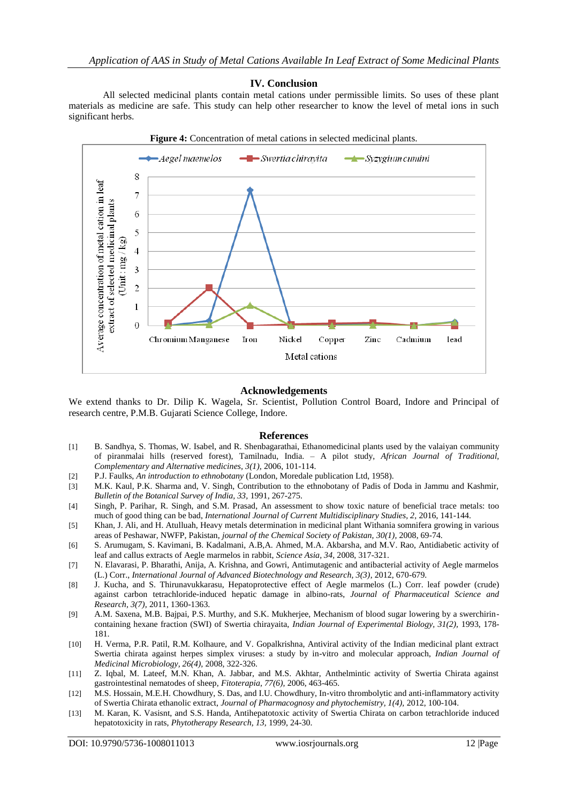### **IV. Conclusion**

All selected medicinal plants contain metal cations under permissible limits. So uses of these plant materials as medicine are safe. This study can help other researcher to know the level of metal ions in such significant herbs.



### **Acknowledgements**

We extend thanks to Dr. Dilip K. Wagela, Sr. Scientist, Pollution Control Board, Indore and Principal of research centre, P.M.B. Gujarati Science College, Indore.

#### **References**

- [1] B. Sandhya, S. Thomas, W. Isabel, and R. Shenbagarathai, Ethanomedicinal plants used by the valaiyan community of piranmalai hills (reserved forest), Tamilnadu, India. – A pilot study, *African Journal of Traditional, Complementary and Alternative medicines, 3(1),* 2006, 101-114.
- [2] P.J. Faulks, *An introduction to ethnobotany* (London, Moredale publication Ltd, 1958).
- [3] M.K. Kaul, P.K. Sharma and, V. Singh, Contribution to the ethnobotany of Padis of Doda in Jammu and Kashmir, *Bulletin of the Botanical Survey of India, 33,* 1991, 267-275.
- [4] Singh, P. Parihar, R. Singh, and S.M. Prasad, An assessment to show toxic nature of beneficial trace metals: too much of good thing can be bad, *International Journal of Current Multidisciplinary Studies, 2,* 2016, 141-144.
- [5] Khan, J. Ali, and H. Atulluah, Heavy metals determination in medicinal plant Withania somnifera growing in various areas of Peshawar, NWFP, Pakistan, *journal of the Chemical Society of Pakistan, 30(1),* 2008, 69-74.
- [6] S. Arumugam, S. Kavimani, B. Kadalmani, A.B,A. Ahmed, M.A. Akbarsha, and M.V. Rao, Antidiabetic activity of leaf and callus extracts of Aegle marmelos in rabbit, *Science Asia, 34,* 2008, 317-321.
- [7] N. Elavarasi, P. Bharathi, Anija, A. Krishna, and Gowri, Antimutagenic and antibacterial activity of Aegle marmelos (L.) Corr., *International Journal of Advanced Biotechnology and Research, 3(3)*, 2012, 670-679.
- [8] J. Kucha, and S. Thirunavukkarasu, Hepatoprotective effect of Aegle marmelos (L.) Corr. leaf powder (crude) against carbon tetrachloride-induced hepatic damage in albino-rats, *Journal of Pharmaceutical Science and Research, 3(7),* 2011, 1360-1363.
- [9] A.M. Saxena, M.B. Bajpai, P.S. Murthy, and S.K. Mukherjee, Mechanism of blood sugar lowering by a swerchirincontaining hexane fraction (SWI) of Swertia chirayaita, *Indian Journal of Experimental Biology, 31(2),* 1993, 178- 181.
- [10] H. Verma, P.R. Patil, R.M. Kolhaure, and V. Gopalkrishna, Antiviral activity of the Indian medicinal plant extract Swertia chirata against herpes simplex viruses: a study by in-vitro and molecular approach, *Indian Journal of Medicinal Microbiology, 26(4),* 2008, 322-326.
- [11] Z. Iqbal, M. Lateef, M.N. Khan, A. Jabbar, and M.S. Akhtar, Anthelmintic activity of Swertia Chirata against gastrointestinal nematodes of sheep, *Fitoterapia, 77(6),* 2006, 463-465.
- [12] M.S. Hossain, M.E.H. Chowdhury, S. Das, and I.U. Chowdhury, In-vitro thrombolytic and anti-inflammatory activity of Swertia Chirata ethanolic extract, *Journal of Pharmacognosy and phytochemistry, 1(4),* 2012, 100-104.
- [13] M. Karan, K. Vasisnt, and S.S. Handa, Antihepatotoxic activity of Swertia Chirata on carbon tetrachloride induced hepatotoxicity in rats, *Phytotherapy Research, 13,* 1999, 24-30.